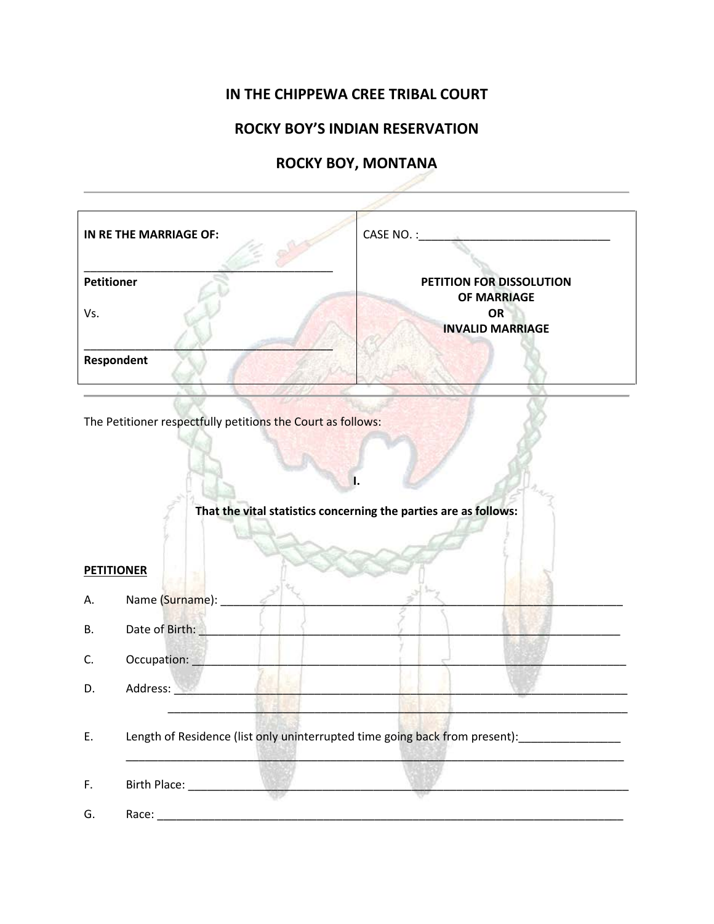## **IN THE CHIPPEWA CREE TRIBAL COURT**

## **ROCKY BOY'S INDIAN RESERVATION**

## **ROCKY BOY, MONTANA**

- 17

|                   | IN RE THE MARRIAGE OF:                                      |                                                                                               |  |  |  |  |  |
|-------------------|-------------------------------------------------------------|-----------------------------------------------------------------------------------------------|--|--|--|--|--|
| <b>Petitioner</b> |                                                             | PETITION FOR DISSOLUTION                                                                      |  |  |  |  |  |
|                   |                                                             | <b>OF MARRIAGE</b><br><b>OR</b>                                                               |  |  |  |  |  |
| Vs.               |                                                             | <b>INVALID MARRIAGE</b>                                                                       |  |  |  |  |  |
|                   |                                                             |                                                                                               |  |  |  |  |  |
|                   | Respondent                                                  |                                                                                               |  |  |  |  |  |
|                   |                                                             |                                                                                               |  |  |  |  |  |
|                   | The Petitioner respectfully petitions the Court as follows: |                                                                                               |  |  |  |  |  |
|                   |                                                             |                                                                                               |  |  |  |  |  |
|                   |                                                             |                                                                                               |  |  |  |  |  |
|                   |                                                             |                                                                                               |  |  |  |  |  |
|                   |                                                             | That the vital statistics concerning the parties are as follows:                              |  |  |  |  |  |
|                   |                                                             |                                                                                               |  |  |  |  |  |
|                   |                                                             |                                                                                               |  |  |  |  |  |
| <b>PETITIONER</b> |                                                             |                                                                                               |  |  |  |  |  |
|                   |                                                             |                                                                                               |  |  |  |  |  |
| Α.                | Name (Surname):                                             |                                                                                               |  |  |  |  |  |
| <b>B.</b>         | Date of Birth:                                              |                                                                                               |  |  |  |  |  |
| C.                | Occupation:                                                 |                                                                                               |  |  |  |  |  |
|                   | Address:                                                    |                                                                                               |  |  |  |  |  |
| D.                |                                                             |                                                                                               |  |  |  |  |  |
|                   |                                                             |                                                                                               |  |  |  |  |  |
| Ε.                |                                                             | Length of Residence (list only uninterrupted time going back from present): _________________ |  |  |  |  |  |
|                   |                                                             |                                                                                               |  |  |  |  |  |
| F.                |                                                             |                                                                                               |  |  |  |  |  |
| G.                |                                                             |                                                                                               |  |  |  |  |  |
|                   |                                                             |                                                                                               |  |  |  |  |  |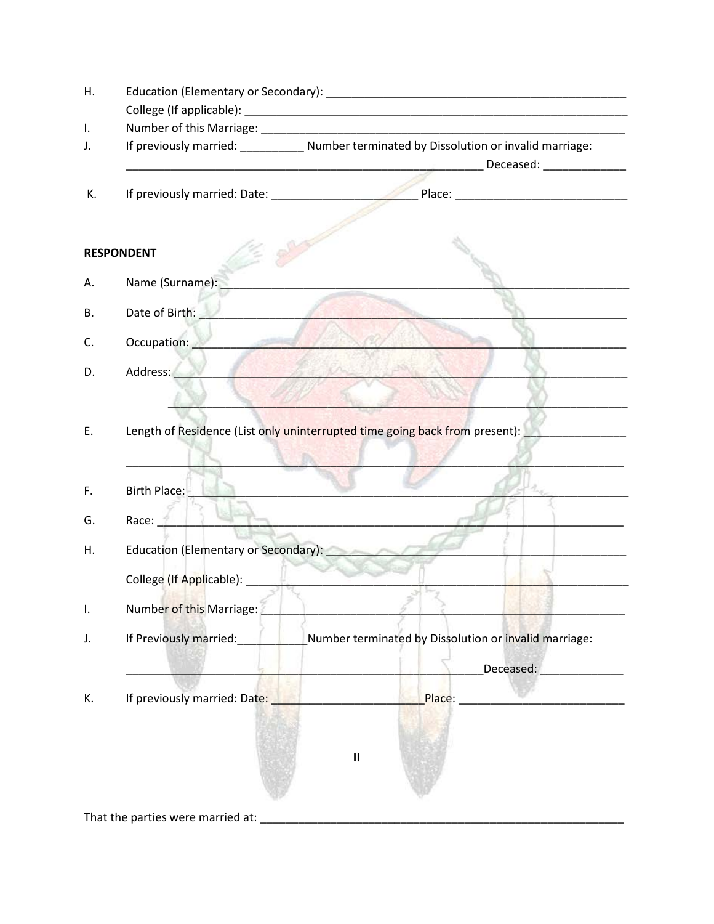| Η. |                                      |                                                                                                                                            |
|----|--------------------------------------|--------------------------------------------------------------------------------------------------------------------------------------------|
| Τ. |                                      |                                                                                                                                            |
| J. |                                      | If previously married: ___________ Number terminated by Dissolution or invalid marriage:<br><u>Deceased:</u> The Contract of the Deceased: |
| К. |                                      | If previously married: Date: Place: Place: Place:                                                                                          |
|    | <b>RESPONDENT</b>                    |                                                                                                                                            |
| А. | Name (Surname):                      |                                                                                                                                            |
| Β. | Date of Birth:                       |                                                                                                                                            |
| C. | Occupation:                          |                                                                                                                                            |
| D. | Address:<br><b>Market Market</b>     |                                                                                                                                            |
| F. | Birth Place:                         |                                                                                                                                            |
| G. | Race:                                |                                                                                                                                            |
| Η. | Education (Elementary or Secondary): |                                                                                                                                            |
|    |                                      |                                                                                                                                            |
|    | Number of this Marriage:             |                                                                                                                                            |
|    | If Previously married:               | Number terminated by Dissolution or invalid marriage:                                                                                      |
|    |                                      | Deceased:                                                                                                                                  |
| К. | If previously married: Date:         |                                                                                                                                            |
|    |                                      |                                                                                                                                            |
|    |                                      |                                                                                                                                            |
|    |                                      | $\mathbf{I}$                                                                                                                               |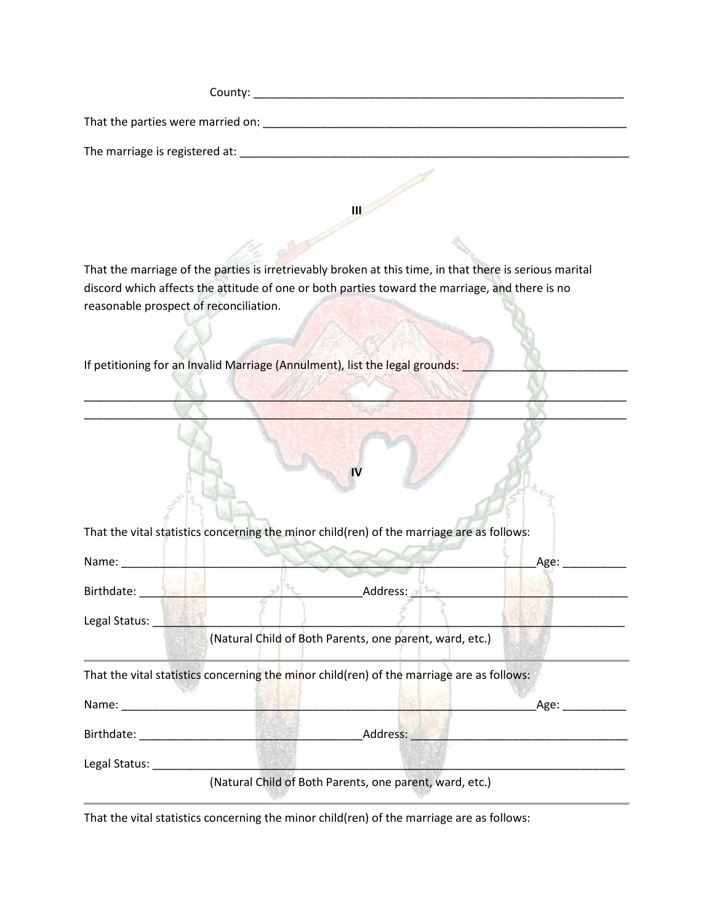| County:                           |  |
|-----------------------------------|--|
| That the parties were married on: |  |
| The marriage is registered at:    |  |

**III** 

That the marriage of the parties is irretrievably broken at this time, in that there is serious marital discord which affects the attitude of one or both parties toward the marriage, and there is no reasonable prospect of reconciliation.

 $\mathbb{Z}^2$  ,  $\mathbb{Z}^2$  ,  $\mathbb{Z}^2$  ,  $\mathbb{Z}^2$  ,  $\mathbb{Z}^2$  ,  $\mathbb{Z}^2$  ,  $\mathbb{Z}^2$  ,  $\mathbb{Z}^2$  ,  $\mathbb{Z}^2$  ,  $\mathbb{Z}^2$ \_\_\_\_\_\_\_\_\_\_\_\_\_\_\_\_\_\_\_\_\_\_\_\_\_\_\_\_\_\_\_\_\_\_\_\_\_\_\_\_\_\_\_\_\_\_\_\_\_\_\_\_\_\_\_\_\_\_\_\_\_\_\_\_\_\_\_\_\_\_\_\_\_\_\_\_\_\_\_\_\_\_\_\_\_

**IV**

If petitioning for an Invalid Marriage (Annulment), list the legal grounds:

| Name:                                                                                                                                                                                                                                                                                                                                                                    |                                                                                           | Age: |
|--------------------------------------------------------------------------------------------------------------------------------------------------------------------------------------------------------------------------------------------------------------------------------------------------------------------------------------------------------------------------|-------------------------------------------------------------------------------------------|------|
| Birthdate:                                                                                                                                                                                                                                                                                                                                                               | Address:                                                                                  |      |
| Legal Status:                                                                                                                                                                                                                                                                                                                                                            |                                                                                           |      |
|                                                                                                                                                                                                                                                                                                                                                                          | (Natural Child of Both Parents, one parent, ward, etc.)                                   |      |
|                                                                                                                                                                                                                                                                                                                                                                          | That the vital statistics concerning the minor child(ren) of the marriage are as follows: |      |
|                                                                                                                                                                                                                                                                                                                                                                          |                                                                                           |      |
|                                                                                                                                                                                                                                                                                                                                                                          |                                                                                           | Age: |
|                                                                                                                                                                                                                                                                                                                                                                          | Address:                                                                                  |      |
| Name: and the state of the state of the state of the state of the state of the state of the state of the state of the state of the state of the state of the state of the state of the state of the state of the state of the<br>Birthdate: The Communist Science of the Communist Science of the Communist Science of the Communist Science of<br>Legal Status: _______ |                                                                                           |      |

That the vital statistics concerning the minor child(ren) of the marriage are as follows: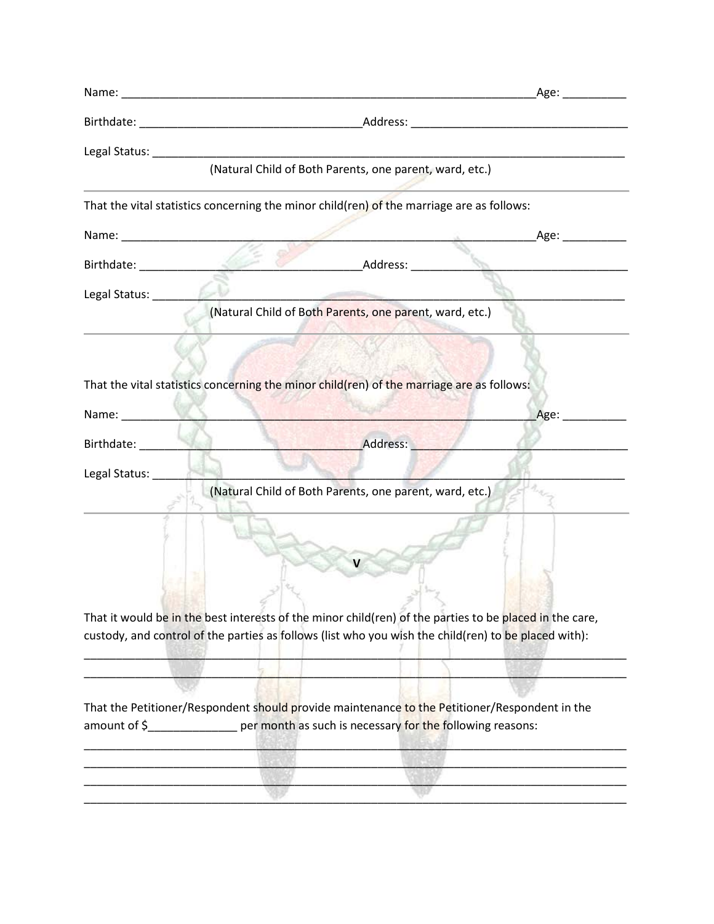|                            | (Natural Child of Both Parents, one parent, ward, etc.)                                                                                                                                                         |                          |                   |
|----------------------------|-----------------------------------------------------------------------------------------------------------------------------------------------------------------------------------------------------------------|--------------------------|-------------------|
|                            | That the vital statistics concerning the minor child(ren) of the marriage are as follows:                                                                                                                       |                          |                   |
|                            |                                                                                                                                                                                                                 |                          | _Age: ___________ |
| Birthdate: 1999 March 2009 |                                                                                                                                                                                                                 | <b>Exercise Address:</b> |                   |
|                            |                                                                                                                                                                                                                 |                          |                   |
|                            | (Natural Child of Both Parents, one parent, ward, etc.)                                                                                                                                                         |                          |                   |
|                            |                                                                                                                                                                                                                 |                          |                   |
|                            |                                                                                                                                                                                                                 |                          |                   |
|                            | That the vital statistics concerning the minor child(ren) of the marriage are as follows:                                                                                                                       |                          |                   |
| Name: $\sqrt{2}$           |                                                                                                                                                                                                                 |                          | Age:              |
|                            |                                                                                                                                                                                                                 | Address:                 |                   |
| Legal Status:              |                                                                                                                                                                                                                 |                          |                   |
|                            | (Natural Child of Both Parents, one parent, ward, etc.)                                                                                                                                                         |                          |                   |
|                            |                                                                                                                                                                                                                 |                          |                   |
|                            |                                                                                                                                                                                                                 |                          |                   |
|                            |                                                                                                                                                                                                                 |                          |                   |
|                            |                                                                                                                                                                                                                 |                          |                   |
|                            | That it would be in the best interests of the minor child(ren) of the parties to be placed in the care,<br>custody, and control of the parties as follows (list who you wish the child(ren) to be placed with): |                          |                   |
|                            |                                                                                                                                                                                                                 |                          |                   |
|                            |                                                                                                                                                                                                                 |                          |                   |
|                            | That the Petitioner/Respondent should provide maintenance to the Petitioner/Respondent in the                                                                                                                   |                          |                   |
|                            | amount of \$                                                                                                                                                                                                    |                          |                   |
|                            |                                                                                                                                                                                                                 |                          |                   |
|                            |                                                                                                                                                                                                                 |                          |                   |
|                            |                                                                                                                                                                                                                 |                          |                   |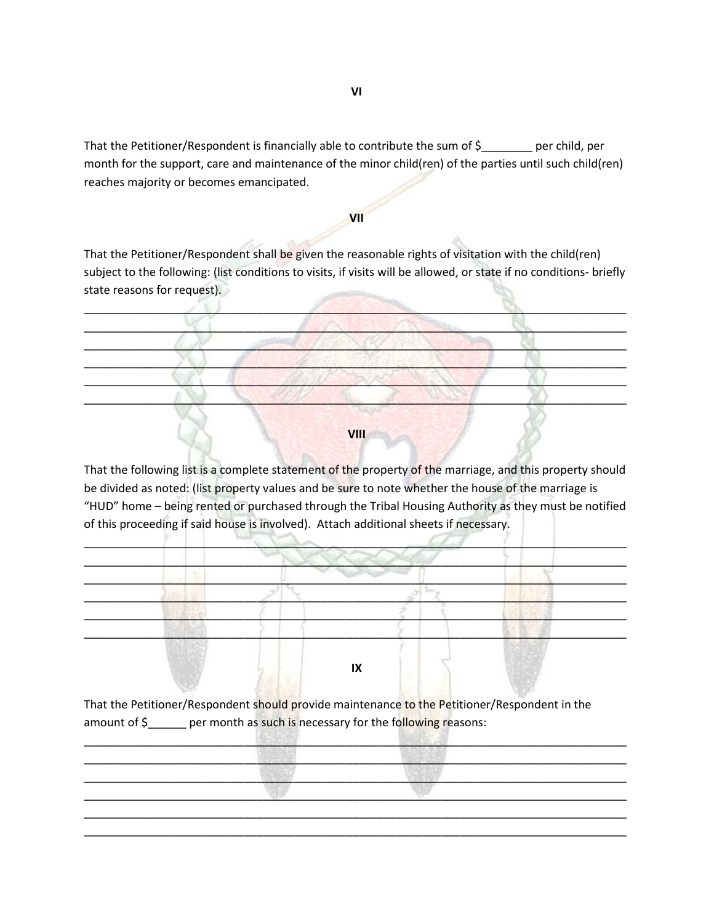That the Petitioner/Respondent is financially able to contribute the sum of \$\_\_\_\_\_\_\_\_ per child, per month for the support, care and maintenance of the minor child(ren) of the parties until such child(ren) reaches majority or becomes emancipated.

## **VII**

That the Petitioner/Respondent shall be given the reasonable rights of visitation with the child(ren) subject to the following: (list conditions to visits, if visits will be allowed, or state if no conditions- briefly state reasons for request).

\_\_\_\_\_\_\_\_\_\_\_\_\_\_\_\_\_\_\_\_\_\_\_\_\_\_\_\_\_\_\_\_\_\_\_\_\_\_\_\_\_\_\_\_\_\_\_\_\_\_\_\_\_\_\_\_\_\_\_\_\_\_\_\_\_\_\_\_\_\_\_\_\_\_\_\_\_\_\_\_\_\_\_\_\_  $\mathbb{Z}$  ,  $\mathbb{Z}$  ,  $\mathbb{Z}$  ,  $\mathbb{Z}$  ,  $\mathbb{Z}$  ,  $\mathbb{Z}$  ,  $\mathbb{Z}$  ,  $\mathbb{Z}$  $\mathcal{L} \times \mathcal{L} \times \mathcal{L} \times \mathcal{L} \times \mathcal{L} \times \mathcal{L} \times \mathcal{L} \times \mathcal{L} \times \mathcal{L} \times \mathcal{L} \times \mathcal{L} \times \mathcal{L} \times \mathcal{L} \times \mathcal{L} \times \mathcal{L} \times \mathcal{L} \times \mathcal{L} \times \mathcal{L} \times \mathcal{L} \times \mathcal{L} \times \mathcal{L} \times \mathcal{L} \times \mathcal{L} \times \mathcal{L} \times \mathcal{L} \times \mathcal{L} \times \mathcal{L} \times \mathcal{$  $\left\{ \left\langle \cdot ,\cdot \right\rangle \right\}$  , and a set of the set of the set of  $\left\langle \cdot ,\cdot \right\rangle$  , and  $\left\langle \cdot ,\cdot \right\rangle$  , and  $\left\langle \cdot ,\cdot \right\rangle$  $\mathcal{M} \subset \mathbb{R}^n$  $\mathbb{Z}_2$  ,  $\mathbb{Z}_3$  ,  $\mathbb{Z}_4$  ,  $\mathbb{Z}_5$  ,  $\mathbb{Z}_2$  ,  $\mathbb{Z}_3$  ,  $\mathbb{Z}_4$  ,  $\mathbb{Z}_5$  ,  $\mathbb{Z}_2$  ,  $\mathbb{Z}_3$ 

**VIII**

That the following list is a complete statement of the property of the marriage, and this property should be divided as noted: (list property values and be sure to note whether the house of the marriage is "HUD" home – being rented or purchased through the Tribal Housing Authority as they must be notified of this proceeding if said house is involved). Attach additional sheets if necessary.



That the Petitioner/Respondent should provide maintenance to the Petitioner/Respondent in the amount of  $\zeta$  per month as such is necessary for the following reasons:

 $\mathbb{R}^{n+1}$  ,  $\mathbb{R}^{n+1}$  ,  $\mathbb{R}^{n+1}$  ,  $\mathbb{R}^{n+1}$  ,  $\mathbb{R}^{n+1}$  ,  $\mathbb{R}^{n+1}$  ,  $\mathbb{R}^{n+1}$  ,  $\mathbb{R}^{n+1}$  ,  $\mathbb{R}^{n+1}$  ,  $\mathbb{R}^{n+1}$  ,  $\mathbb{R}^{n+1}$  ,  $\mathbb{R}^{n+1}$  ,  $\mathbb{R}^{n+1}$  ,  $\mathbb{R}^{n+1}$ \_\_\_\_\_\_\_\_\_\_\_\_\_\_\_\_\_\_\_\_\_\_\_\_\_\_\_\_\_\_\_\_\_\_\_\_\_\_\_\_\_\_\_\_\_\_\_\_\_\_\_\_\_\_\_\_\_\_\_\_\_\_\_\_\_\_\_\_\_\_\_\_\_\_\_\_\_\_\_\_\_\_\_\_\_  $\frac{1}{2}$  ,  $\frac{1}{2}$  ,  $\frac{1}{2}$  ,  $\frac{1}{2}$  ,  $\frac{1}{2}$  ,  $\frac{1}{2}$  ,  $\frac{1}{2}$  ,  $\frac{1}{2}$  ,  $\frac{1}{2}$  ,  $\frac{1}{2}$  ,  $\frac{1}{2}$  ,  $\frac{1}{2}$  ,  $\frac{1}{2}$  ,  $\frac{1}{2}$  ,  $\frac{1}{2}$  ,  $\frac{1}{2}$  ,  $\frac{1}{2}$  ,  $\frac{1}{2}$  ,  $\frac{1$  $\mathbb{F}_2$  , and the contribution of  $\mathbb{F}_2$  , and the contribution of  $\mathbb{F}_2$  , and the contribution of  $\mathbb{F}_2$ \_\_\_\_\_\_\_\_\_\_\_\_\_\_\_\_\_\_\_\_\_\_\_\_\_\_\_\_\_\_\_\_\_\_\_\_\_\_\_\_\_\_\_\_\_\_\_\_\_\_\_\_\_\_\_\_\_\_\_\_\_\_\_\_\_\_\_\_\_\_\_\_\_\_\_\_\_\_\_\_\_\_\_\_\_ \_\_\_\_\_\_\_\_\_\_\_\_\_\_\_\_\_\_\_\_\_\_\_\_\_\_\_\_\_\_\_\_\_\_\_\_\_\_\_\_\_\_\_\_\_\_\_\_\_\_\_\_\_\_\_\_\_\_\_\_\_\_\_\_\_\_\_\_\_\_\_\_\_\_\_\_\_\_\_\_\_\_\_\_\_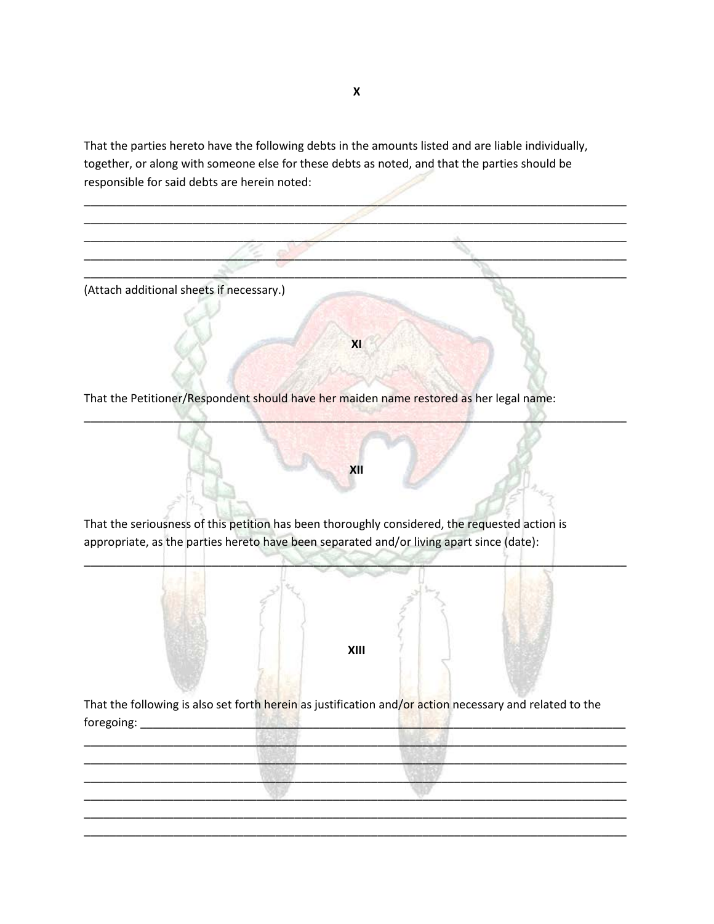That the parties hereto have the following debts in the amounts listed and are liable individually, together, or along with someone else for these debts as noted, and that the parties should be responsible for said debts are herein noted:



**X**